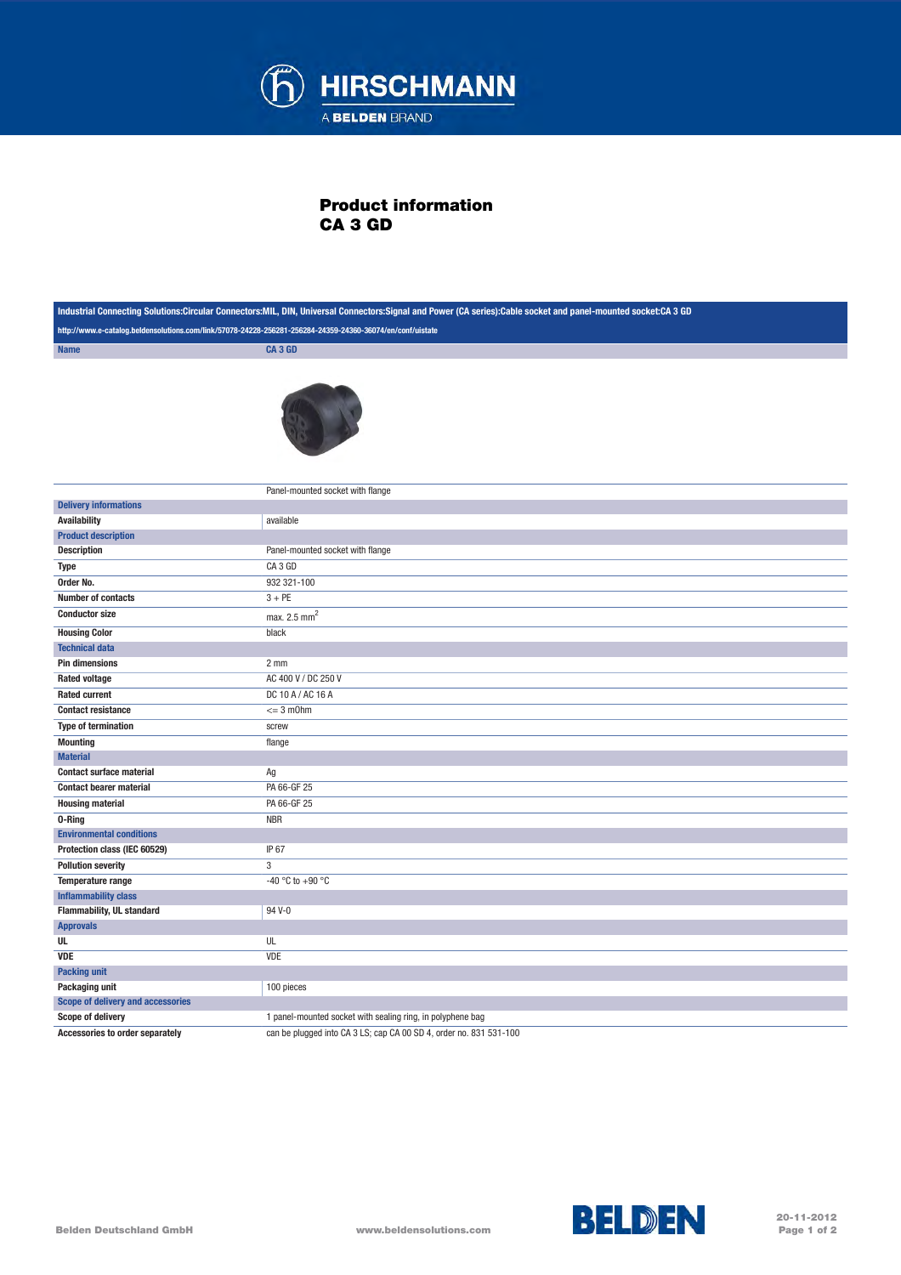

## Product information CA 3 GD

| Industrial Connecting Solutions:Circular Connectors:MIL, DIN, Universal Connectors:Signal and Power (CA series):Cable socket and panel-mounted socket:CA 3 GD |                                                                    |
|---------------------------------------------------------------------------------------------------------------------------------------------------------------|--------------------------------------------------------------------|
| http://www.e-catalog.beldensolutions.com/link/57078-24228-256281-256284-24359-24360-36074/en/conf/uistate                                                     |                                                                    |
| <b>Name</b>                                                                                                                                                   | <b>CA3 GD</b>                                                      |
|                                                                                                                                                               |                                                                    |
|                                                                                                                                                               | Panel-mounted socket with flange                                   |
| <b>Delivery informations</b>                                                                                                                                  |                                                                    |
| <b>Availability</b>                                                                                                                                           | available                                                          |
| <b>Product description</b>                                                                                                                                    |                                                                    |
| <b>Description</b>                                                                                                                                            | Panel-mounted socket with flange                                   |
| <b>Type</b>                                                                                                                                                   | CA3 GD                                                             |
| Order No.                                                                                                                                                     | 932 321-100                                                        |
| <b>Number of contacts</b>                                                                                                                                     | $3 + PE$                                                           |
| <b>Conductor size</b>                                                                                                                                         | max. $2.5$ mm <sup>2</sup>                                         |
| <b>Housing Color</b>                                                                                                                                          | black                                                              |
| <b>Technical data</b>                                                                                                                                         |                                                                    |
| <b>Pin dimensions</b>                                                                                                                                         | 2 <sub>mm</sub>                                                    |
| <b>Rated voltage</b>                                                                                                                                          | AC 400 V / DC 250 V                                                |
| <b>Rated current</b>                                                                                                                                          | DC 10 A / AC 16 A                                                  |
| <b>Contact resistance</b>                                                                                                                                     | $= 3$ m0hm                                                         |
| <b>Type of termination</b>                                                                                                                                    | screw                                                              |
| <b>Mounting</b>                                                                                                                                               | flange                                                             |
| <b>Material</b>                                                                                                                                               |                                                                    |
| <b>Contact surface material</b>                                                                                                                               | Ag                                                                 |
| <b>Contact bearer material</b>                                                                                                                                | PA 66-GF 25                                                        |
| <b>Housing material</b>                                                                                                                                       | PA 66-GF 25                                                        |
| 0-Ring                                                                                                                                                        | <b>NBR</b>                                                         |
| <b>Environmental conditions</b>                                                                                                                               |                                                                    |
| Protection class (IEC 60529)                                                                                                                                  | IP 67                                                              |
| <b>Pollution severity</b>                                                                                                                                     | 3                                                                  |
| Temperature range                                                                                                                                             | -40 °C to +90 °C                                                   |
| <b>Inflammability class</b>                                                                                                                                   |                                                                    |
| Flammability, UL standard                                                                                                                                     | 94 V-0                                                             |
| <b>Approvals</b>                                                                                                                                              |                                                                    |
| UL                                                                                                                                                            | UL                                                                 |
| <b>VDE</b>                                                                                                                                                    | VDE                                                                |
| <b>Packing unit</b>                                                                                                                                           |                                                                    |
| Packaging unit                                                                                                                                                | 100 pieces                                                         |
| Scope of delivery and accessories                                                                                                                             |                                                                    |
| Scope of delivery                                                                                                                                             | 1 panel-mounted socket with sealing ring, in polyphene bag         |
| Accessories to order separately                                                                                                                               | can be plugged into CA 3 LS; cap CA 00 SD 4, order no. 831 531-100 |